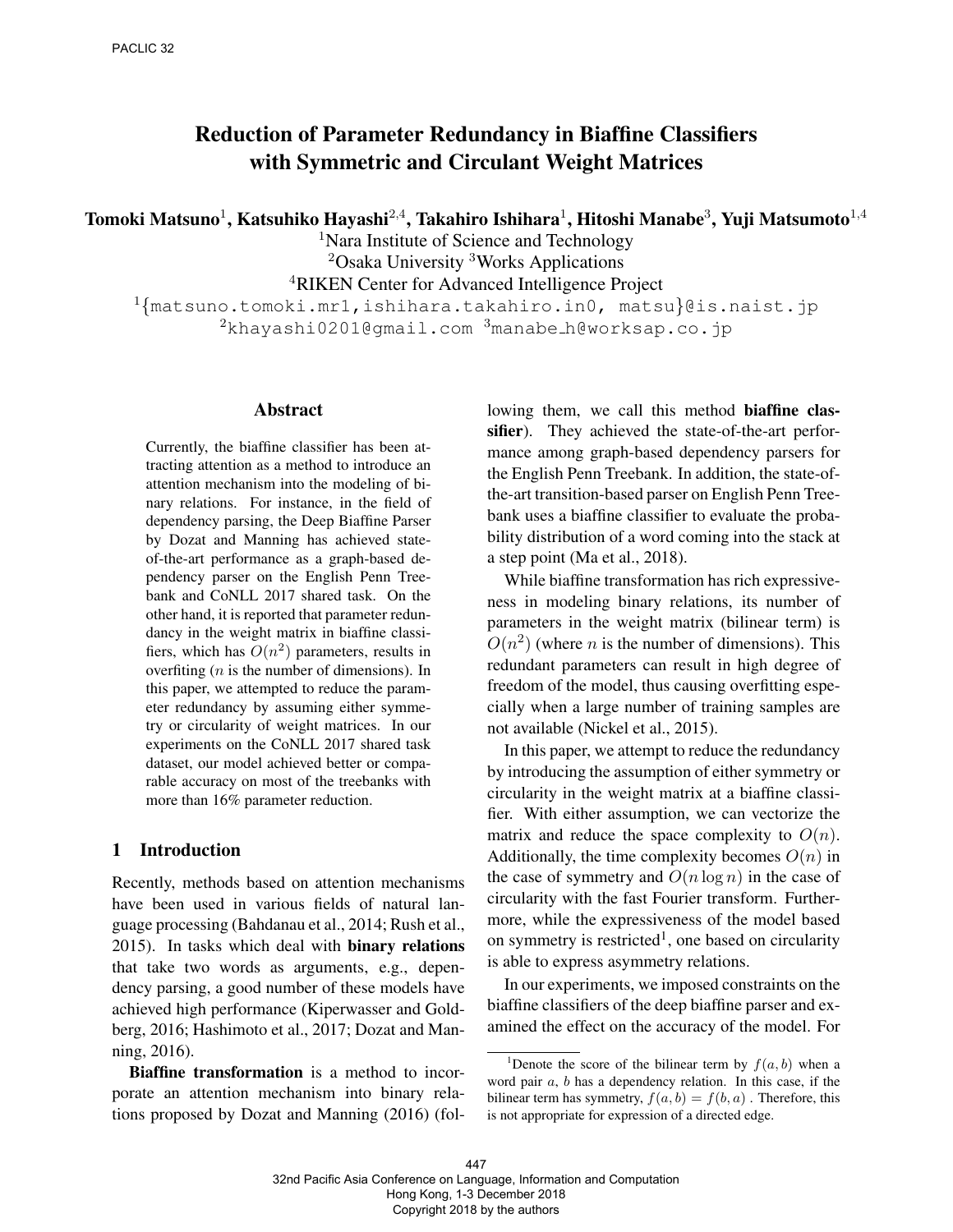# Reduction of Parameter Redundancy in Biaffine Classifiers with Symmetric and Circulant Weight Matrices

Tomoki Matsuno $^1$ , Katsuhiko Hayashi $^{2,4}$ , Takahiro Ishihara $^1$ , Hitoshi Manabe $^3$ , Yuji Matsumoto $^{1,4}$ 

<sup>1</sup>Nara Institute of Science and Technology <sup>2</sup>Osaka University <sup>3</sup>Works Applications <sup>4</sup>RIKEN Center for Advanced Intelligence Project

<sup>1</sup>{matsuno.tomoki.mr1,ishihara.takahiro.in0, matsu}@is.naist.jp <sup>2</sup>khayashi0201@gmail.com <sup>3</sup>manabe h@worksap.co.jp

#### Abstract

Currently, the biaffine classifier has been attracting attention as a method to introduce an attention mechanism into the modeling of binary relations. For instance, in the field of dependency parsing, the Deep Biaffine Parser by Dozat and Manning has achieved stateof-the-art performance as a graph-based dependency parser on the English Penn Treebank and CoNLL 2017 shared task. On the other hand, it is reported that parameter redundancy in the weight matrix in biaffine classifiers, which has  $O(n^2)$  parameters, results in overfiting  $(n$  is the number of dimensions). In this paper, we attempted to reduce the parameter redundancy by assuming either symmetry or circularity of weight matrices. In our experiments on the CoNLL 2017 shared task dataset, our model achieved better or comparable accuracy on most of the treebanks with more than 16% parameter reduction.

#### 1 Introduction

Recently, methods based on attention mechanisms have been used in various fields of natural language processing (Bahdanau et al., 2014; Rush et al., 2015). In tasks which deal with binary relations that take two words as arguments, e.g., dependency parsing, a good number of these models have achieved high performance (Kiperwasser and Goldberg, 2016; Hashimoto et al., 2017; Dozat and Manning, 2016).

Biaffine transformation is a method to incorporate an attention mechanism into binary relations proposed by Dozat and Manning (2016) (following them, we call this method biaffine classifier). They achieved the state-of-the-art performance among graph-based dependency parsers for the English Penn Treebank. In addition, the state-ofthe-art transition-based parser on English Penn Treebank uses a biaffine classifier to evaluate the probability distribution of a word coming into the stack at a step point (Ma et al., 2018).

While biaffine transformation has rich expressiveness in modeling binary relations, its number of parameters in the weight matrix (bilinear term) is  $O(n^2)$  (where *n* is the number of dimensions). This redundant parameters can result in high degree of freedom of the model, thus causing overfitting especially when a large number of training samples are not available (Nickel et al., 2015).

In this paper, we attempt to reduce the redundancy by introducing the assumption of either symmetry or circularity in the weight matrix at a biaffine classifier. With either assumption, we can vectorize the matrix and reduce the space complexity to  $O(n)$ . Additionally, the time complexity becomes  $O(n)$  in the case of symmetry and  $O(n \log n)$  in the case of circularity with the fast Fourier transform. Furthermore, while the expressiveness of the model based on symmetry is restricted<sup>1</sup>, one based on circularity is able to express asymmetry relations.

In our experiments, we imposed constraints on the biaffine classifiers of the deep biaffine parser and examined the effect on the accuracy of the model. For

<sup>&</sup>lt;sup>1</sup>Denote the score of the bilinear term by  $f(a, b)$  when a word pair  $a$ ,  $b$  has a dependency relation. In this case, if the bilinear term has symmetry,  $f(a, b) = f(b, a)$ . Therefore, this is not appropriate for expression of a directed edge.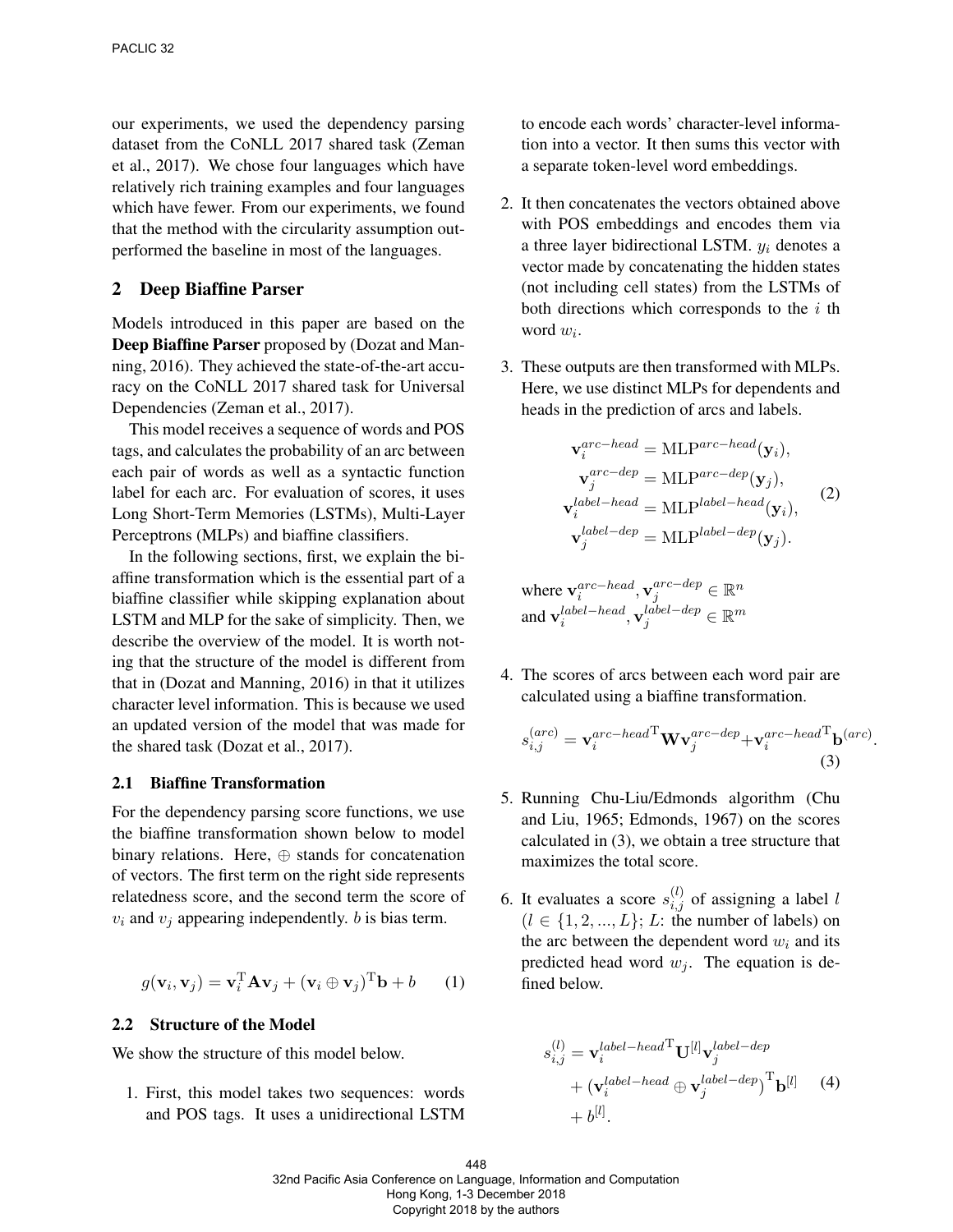our experiments, we used the dependency parsing dataset from the CoNLL 2017 shared task (Zeman et al., 2017). We chose four languages which have relatively rich training examples and four languages which have fewer. From our experiments, we found that the method with the circularity assumption outperformed the baseline in most of the languages.

#### 2 Deep Biaffine Parser

Models introduced in this paper are based on the Deep Biaffine Parser proposed by (Dozat and Manning, 2016). They achieved the state-of-the-art accuracy on the CoNLL 2017 shared task for Universal Dependencies (Zeman et al., 2017).

This model receives a sequence of words and POS tags, and calculates the probability of an arc between each pair of words as well as a syntactic function label for each arc. For evaluation of scores, it uses Long Short-Term Memories (LSTMs), Multi-Layer Perceptrons (MLPs) and biaffine classifiers.

In the following sections, first, we explain the biaffine transformation which is the essential part of a biaffine classifier while skipping explanation about LSTM and MLP for the sake of simplicity. Then, we describe the overview of the model. It is worth noting that the structure of the model is different from that in (Dozat and Manning, 2016) in that it utilizes character level information. This is because we used an updated version of the model that was made for the shared task (Dozat et al., 2017).

#### 2.1 Biaffine Transformation

For the dependency parsing score functions, we use the biaffine transformation shown below to model binary relations. Here, ⊕ stands for concatenation of vectors. The first term on the right side represents relatedness score, and the second term the score of  $v_i$  and  $v_j$  appearing independently. b is bias term.

$$
g(\mathbf{v}_i, \mathbf{v}_j) = \mathbf{v}_i^{\mathrm{T}} \mathbf{A} \mathbf{v}_j + (\mathbf{v}_i \oplus \mathbf{v}_j)^{\mathrm{T}} \mathbf{b} + b \qquad (1)
$$

#### 2.2 Structure of the Model

We show the structure of this model below.

1. First, this model takes two sequences: words and POS tags. It uses a unidirectional LSTM

to encode each words' character-level information into a vector. It then sums this vector with a separate token-level word embeddings.

- 2. It then concatenates the vectors obtained above with POS embeddings and encodes them via a three layer bidirectional LSTM.  $y_i$  denotes a vector made by concatenating the hidden states (not including cell states) from the LSTMs of both directions which corresponds to the  $i$  th word  $w_i$ .
- 3. These outputs are then transformed with MLPs. Here, we use distinct MLPs for dependents and heads in the prediction of arcs and labels.

$$
\mathbf{v}_{i}^{arc-head} = \text{MLP}^{arc-head}(\mathbf{y}_{i}),
$$

$$
\mathbf{v}_{j}^{arc-dep} = \text{MLP}^{arc-dep}(\mathbf{y}_{j}),
$$

$$
\mathbf{v}_{i}^{label-head} = \text{MLP}^{label-head}(\mathbf{y}_{i}),
$$

$$
\mathbf{v}_{j}^{label-dep} = \text{MLP}^{label-dep}(\mathbf{y}_{i}),
$$
(2)
$$
\mathbf{v}_{j}^{label-dep} = \text{MLP}^{label-dep}(\mathbf{y}_{j}).
$$
where 
$$
\mathbf{v}_{i}^{arc-head}, \mathbf{v}_{j}^{arc-dep} \in \mathbb{R}^{n}
$$

4. The scores of arcs between each word pair are calculated using a biaffine transformation.

and  $\mathbf{v}^{label-head}_i, \mathbf{v}^{label-dep}_j \in \mathbb{R}^m$ 

$$
s_{i,j}^{(arc)} = \mathbf{v}_i^{arc-head} \mathbf{W} \mathbf{v}_j^{arc-dep} + \mathbf{v}_i^{arc-head} \mathbf{b}^{(arc)}
$$
\n(3)

.

- 5. Running Chu-Liu/Edmonds algorithm (Chu and Liu, 1965; Edmonds, 1967) on the scores calculated in (3), we obtain a tree structure that maximizes the total score.
- 6. It evaluates a score  $s_{i,j}^{(l)}$  of assigning a label l  $(l \in \{1, 2, ..., L\}; L:$  the number of labels) on the arc between the dependent word  $w_i$  and its predicted head word  $w_i$ . The equation is defined below.

$$
s_{i,j}^{(l)} = \mathbf{v}_i^{label-head} \mathbf{U}^{[l]} \mathbf{v}_j^{label-dep}
$$
  
+ 
$$
(\mathbf{v}_i^{label-head} \oplus \mathbf{v}_j^{label-dep})^{\mathrm{T}} \mathbf{b}^{[l]} \tag{4}
$$
  
+ 
$$
b^{[l]}.
$$

448 32nd Pacific Asia Conference on Language, Information and Computation Hong Kong, 1-3 December 2018 Copyright 2018 by the authors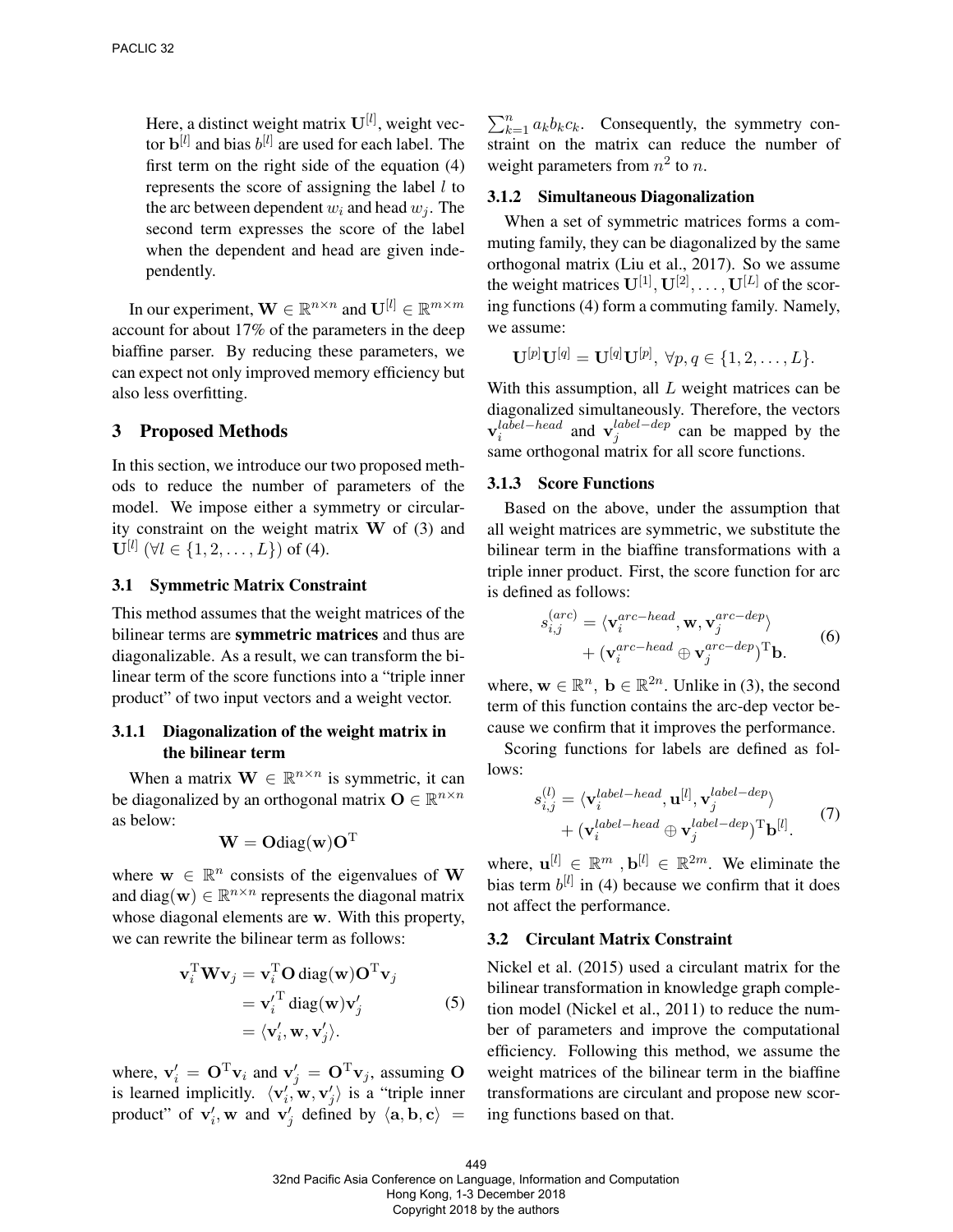Here, a distinct weight matrix  $\mathbf{U}^{[l]}$ , weight vector  $\mathbf{b}^{[l]}$  and bias  $b^{[l]}$  are used for each label. The first term on the right side of the equation (4) represents the score of assigning the label  $l$  to the arc between dependent  $w_i$  and head  $w_j$ . The second term expresses the score of the label when the dependent and head are given independently.

In our experiment,  $\mathbf{W} \in \mathbb{R}^{n \times n}$  and  $\mathbf{U}^{[l]} \in \mathbb{R}^{m \times m}$ account for about 17% of the parameters in the deep biaffine parser. By reducing these parameters, we can expect not only improved memory efficiency but also less overfitting.

#### 3 Proposed Methods

In this section, we introduce our two proposed methods to reduce the number of parameters of the model. We impose either a symmetry or circularity constraint on the weight matrix  $W$  of (3) and  $\mathbf{U}^{[l]}~(\forall l \in \{1,2,\ldots,L\}) \text{ of (4)}.$ 

#### 3.1 Symmetric Matrix Constraint

This method assumes that the weight matrices of the bilinear terms are symmetric matrices and thus are diagonalizable. As a result, we can transform the bilinear term of the score functions into a "triple inner product" of two input vectors and a weight vector.

# 3.1.1 Diagonalization of the weight matrix in the bilinear term

When a matrix  $\mathbf{W} \in \mathbb{R}^{n \times n}$  is symmetric, it can be diagonalized by an orthogonal matrix  $\mathbf{O} \in \mathbb{R}^{n \times n}$ as below:

$$
\mathbf{W} = \mathbf{O}\text{diag}(\mathbf{w})\mathbf{O}^{\mathrm{T}}
$$

where  $w \in \mathbb{R}^n$  consists of the eigenvalues of W and diag( $\mathbf{w}$ )  $\in \mathbb{R}^{n \times n}$  represents the diagonal matrix whose diagonal elements are w. With this property, we can rewrite the bilinear term as follows:

$$
\mathbf{v}_i^{\mathrm{T}} \mathbf{W} \mathbf{v}_j = \mathbf{v}_i^{\mathrm{T}} \mathbf{O} \operatorname{diag}(\mathbf{w}) \mathbf{O}^{\mathrm{T}} \mathbf{v}_j
$$
  
=  $\mathbf{v}_i^{\prime \mathrm{T}} \operatorname{diag}(\mathbf{w}) \mathbf{v}_j^{\prime}$  (5)  
=  $\langle \mathbf{v}_i^{\prime}, \mathbf{w}, \mathbf{v}_j^{\prime} \rangle$ .

where,  $\mathbf{v}'_i = \mathbf{O}^T \mathbf{v}_i$  and  $\mathbf{v}'_j = \mathbf{O}^T \mathbf{v}_j$ , assuming O is learned implicitly.  $\langle v'_i, w, v'_j \rangle$  is a "triple inner product" of  $v'_i$ , w and  $v'_j$  defined by  $\langle a, b, c \rangle =$ 

 $\sum_{k=1}^{n} a_k b_k c_k$ . Consequently, the symmetry constraint on the matrix can reduce the number of weight parameters from  $n^2$  to n.

#### 3.1.2 Simultaneous Diagonalization

When a set of symmetric matrices forms a commuting family, they can be diagonalized by the same orthogonal matrix (Liu et al., 2017). So we assume the weight matrices  $\mathbf{U}^{[1]}, \mathbf{U}^{[2]}, \ldots, \mathbf{U}^{[L]}$  of the scoring functions (4) form a commuting family. Namely, we assume:

$$
\mathbf{U}^{[p]}\mathbf{U}^{[q]}=\mathbf{U}^{[q]}\mathbf{U}^{[p]},\ \forall p,q\in\{1,2,\ldots,L\}.
$$

With this assumption, all  $L$  weight matrices can be diagonalized simultaneously. Therefore, the vectors  $\mathbf{v}_i^{label-head}$  and  $\mathbf{v}_j^{label-dep}$  $j^{laoel - aep}_{j}$  can be mapped by the same orthogonal matrix for all score functions.

#### 3.1.3 Score Functions

Based on the above, under the assumption that all weight matrices are symmetric, we substitute the bilinear term in the biaffine transformations with a triple inner product. First, the score function for arc is defined as follows:

$$
s_{i,j}^{(arc)} = \langle \mathbf{v}_i^{arc-head}, \mathbf{w}, \mathbf{v}_j^{arc-dep} \rangle + (\mathbf{v}_i^{arc-head} \oplus \mathbf{v}_j^{arc-dep})^{\mathrm{T}} \mathbf{b}.
$$
 (6)

where,  $\mathbf{w} \in \mathbb{R}^n$ ,  $\mathbf{b} \in \mathbb{R}^{2n}$ . Unlike in (3), the second term of this function contains the arc-dep vector because we confirm that it improves the performance.

Scoring functions for labels are defined as follows:

$$
s_{i,j}^{(l)} = \langle \mathbf{v}_i^{label-head}, \mathbf{u}^{[l]}, \mathbf{v}_j^{label-dep} \rangle + (\mathbf{v}_i^{label-head} \oplus \mathbf{v}_j^{label-dep})^{\mathrm{T}} \mathbf{b}^{[l]}.
$$
 (7)

where,  $\mathbf{u}^{[l]} \in \mathbb{R}^m$ ,  $\mathbf{b}^{[l]} \in \mathbb{R}^{2m}$ . We eliminate the bias term  $b^{[l]}$  in (4) because we confirm that it does not affect the performance.

#### 3.2 Circulant Matrix Constraint

Nickel et al. (2015) used a circulant matrix for the bilinear transformation in knowledge graph completion model (Nickel et al., 2011) to reduce the number of parameters and improve the computational efficiency. Following this method, we assume the weight matrices of the bilinear term in the biaffine transformations are circulant and propose new scoring functions based on that.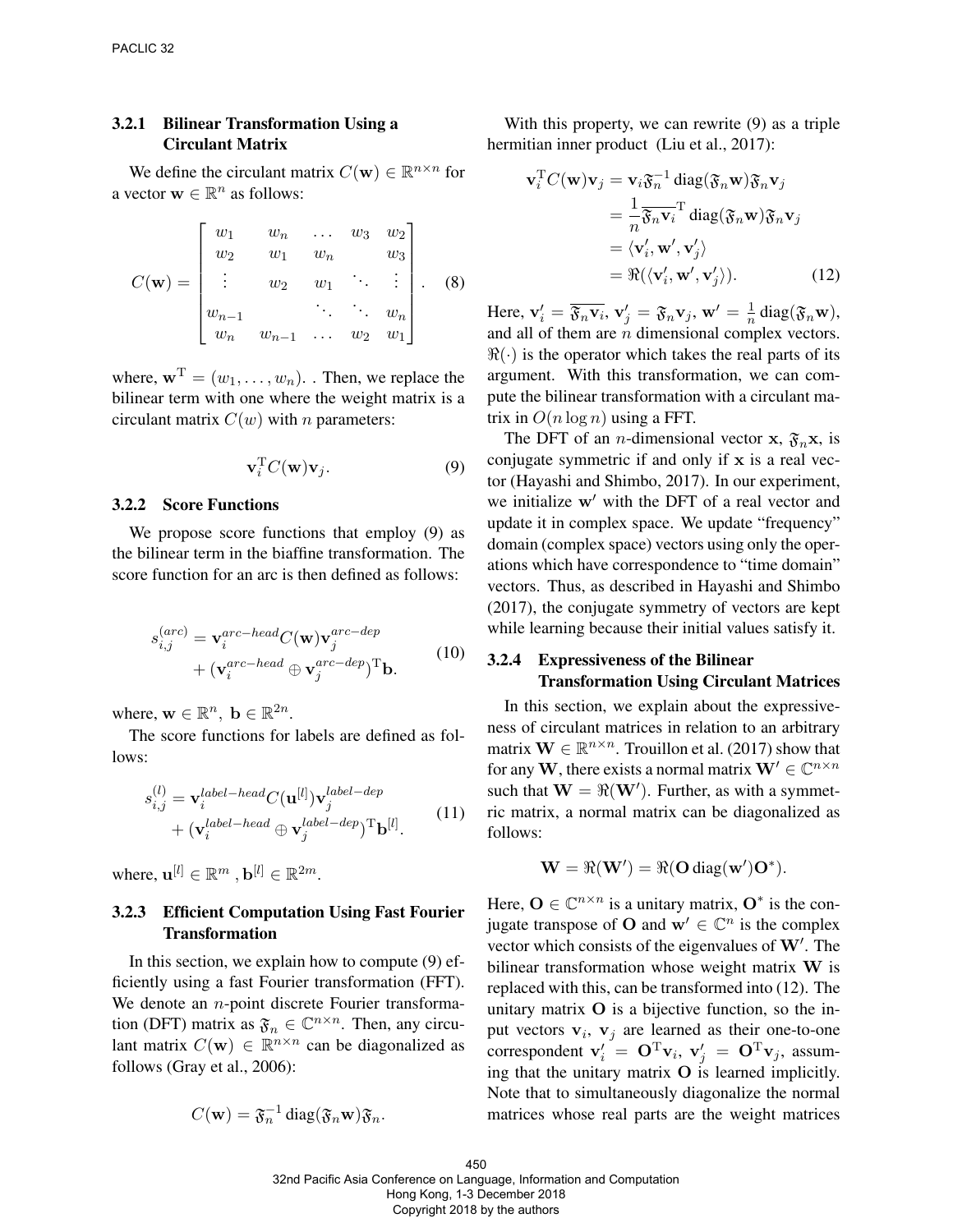## 3.2.1 Bilinear Transformation Using a Circulant Matrix

We define the circulant matrix  $C(\mathbf{w}) \in \mathbb{R}^{n \times n}$  for a vector  $\mathbf{w} \in \mathbb{R}^n$  as follows:

$$
C(\mathbf{w}) = \begin{bmatrix} w_1 & w_n & \dots & w_3 & w_2 \\ w_2 & w_1 & w_n & w_3 \\ \vdots & w_2 & w_1 & \ddots & \vdots \\ w_{n-1} & \ddots & \ddots & w_n \\ w_n & w_{n-1} & \dots & w_2 & w_1 \end{bmatrix} .
$$
 (8)

where,  $\mathbf{w}^{\mathrm{T}} = (w_1, \dots, w_n)$ . Then, we replace the bilinear term with one where the weight matrix is a circulant matrix  $C(w)$  with *n* parameters:

$$
\mathbf{v}_i^{\mathrm{T}} C(\mathbf{w}) \mathbf{v}_j. \tag{9}
$$

#### 3.2.2 Score Functions

We propose score functions that employ (9) as the bilinear term in the biaffine transformation. The score function for an arc is then defined as follows:

$$
s_{i,j}^{(arc)} = \mathbf{v}_i^{arc-head} C(\mathbf{w}) \mathbf{v}_j^{arc-dep}
$$
  
+ 
$$
(\mathbf{v}_i^{arc-head} \oplus \mathbf{v}_j^{arc-dep})^{\mathrm{T}} \mathbf{b}.
$$
 (10)

where,  $\mathbf{w} \in \mathbb{R}^n$ ,  $\mathbf{b} \in \mathbb{R}^{2n}$ .

The score functions for labels are defined as follows:

$$
s_{i,j}^{(l)} = \mathbf{v}_i^{label-head} C(\mathbf{u}^{[l]}) \mathbf{v}_j^{label-dep}
$$
  
+ 
$$
(\mathbf{v}_i^{label-head} \oplus \mathbf{v}_j^{label-dep})^{\mathrm{T}} \mathbf{b}^{[l]}.
$$
 (11)

where,  $\mathbf{u}^{[l]} \in \mathbb{R}^m$  ,  $\mathbf{b}^{[l]} \in \mathbb{R}^{2m}$ .

### 3.2.3 Efficient Computation Using Fast Fourier Transformation

In this section, we explain how to compute (9) efficiently using a fast Fourier transformation (FFT). We denote an  $n$ -point discrete Fourier transformation (DFT) matrix as  $\mathfrak{F}_n \in \mathbb{C}^{n \times n}$ . Then, any circulant matrix  $C(\mathbf{w}) \in \mathbb{R}^{n \times n}$  can be diagonalized as follows (Gray et al., 2006):

$$
C(\mathbf{w}) = \mathfrak{F}_n^{-1} \operatorname{diag}(\mathfrak{F}_n \mathbf{w}) \mathfrak{F}_n.
$$

With this property, we can rewrite (9) as a triple hermitian inner product (Liu et al., 2017):

$$
\mathbf{v}_i^{\mathrm{T}} C(\mathbf{w}) \mathbf{v}_j = \mathbf{v}_i \mathfrak{F}_n^{-1} \operatorname{diag}(\mathfrak{F}_n \mathbf{w}) \mathfrak{F}_n \mathbf{v}_j
$$
  
\n
$$
= \frac{1}{n} \overline{\mathfrak{F}_n \mathbf{v}_i}^{\mathrm{T}} \operatorname{diag}(\mathfrak{F}_n \mathbf{w}) \mathfrak{F}_n \mathbf{v}_j
$$
  
\n
$$
= \langle \mathbf{v}_i', \mathbf{w}', \mathbf{v}_j' \rangle
$$
  
\n
$$
= \Re(\langle \mathbf{v}_i', \mathbf{w}', \mathbf{v}_j' \rangle). \tag{12}
$$

Here,  $\mathbf{v}'_i = \overline{\mathfrak{F}_n \mathbf{v}_i}, \mathbf{v}'_j = \mathfrak{F}_n \mathbf{v}_j, \mathbf{w}' = \frac{1}{n}$  $\frac{1}{n}$  diag( $\mathfrak{F}_n$ **w**), and all of them are  $n$  dimensional complex vectors.  $\Re(\cdot)$  is the operator which takes the real parts of its argument. With this transformation, we can compute the bilinear transformation with a circulant matrix in  $O(n \log n)$  using a FFT.

The DFT of an *n*-dimensional vector **x**,  $\mathfrak{F}_n$ **x**, is conjugate symmetric if and only if  $x$  is a real vector (Hayashi and Shimbo, 2017). In our experiment, we initialize  $w'$  with the DFT of a real vector and update it in complex space. We update "frequency" domain (complex space) vectors using only the operations which have correspondence to "time domain" vectors. Thus, as described in Hayashi and Shimbo (2017), the conjugate symmetry of vectors are kept while learning because their initial values satisfy it.

### 3.2.4 Expressiveness of the Bilinear Transformation Using Circulant Matrices

In this section, we explain about the expressiveness of circulant matrices in relation to an arbitrary matrix  $\mathbf{W} \in \mathbb{R}^{n \times n}$ . Trouillon et al. (2017) show that for any  $\mathbf{W},$  there exists a normal matrix  $\mathbf{W}'\in\mathbb{C}^{n\times n}$ such that  $\mathbf{W} = \Re(\mathbf{W}')$ . Further, as with a symmetric matrix, a normal matrix can be diagonalized as follows:

$$
\mathbf{W} = \Re(\mathbf{W}') = \Re(\mathbf{O} \operatorname{diag}(\mathbf{w}')\mathbf{O}^*).
$$

Here,  $\mathbf{O} \in \mathbb{C}^{n \times n}$  is a unitary matrix,  $\mathbf{O}^*$  is the conjugate transpose of **O** and  $\mathbf{w}' \in \mathbb{C}^n$  is the complex vector which consists of the eigenvalues of  $W'$ . The bilinear transformation whose weight matrix W is replaced with this, can be transformed into (12). The unitary matrix  $O$  is a bijective function, so the input vectors  $v_i$ ,  $v_j$  are learned as their one-to-one correspondent  $\mathbf{v}'_i = \mathbf{O}^T \mathbf{v}_i$ ,  $\mathbf{v}'_j = \mathbf{O}^T \mathbf{v}_j$ , assuming that the unitary matrix  $O$  is learned implicitly. Note that to simultaneously diagonalize the normal matrices whose real parts are the weight matrices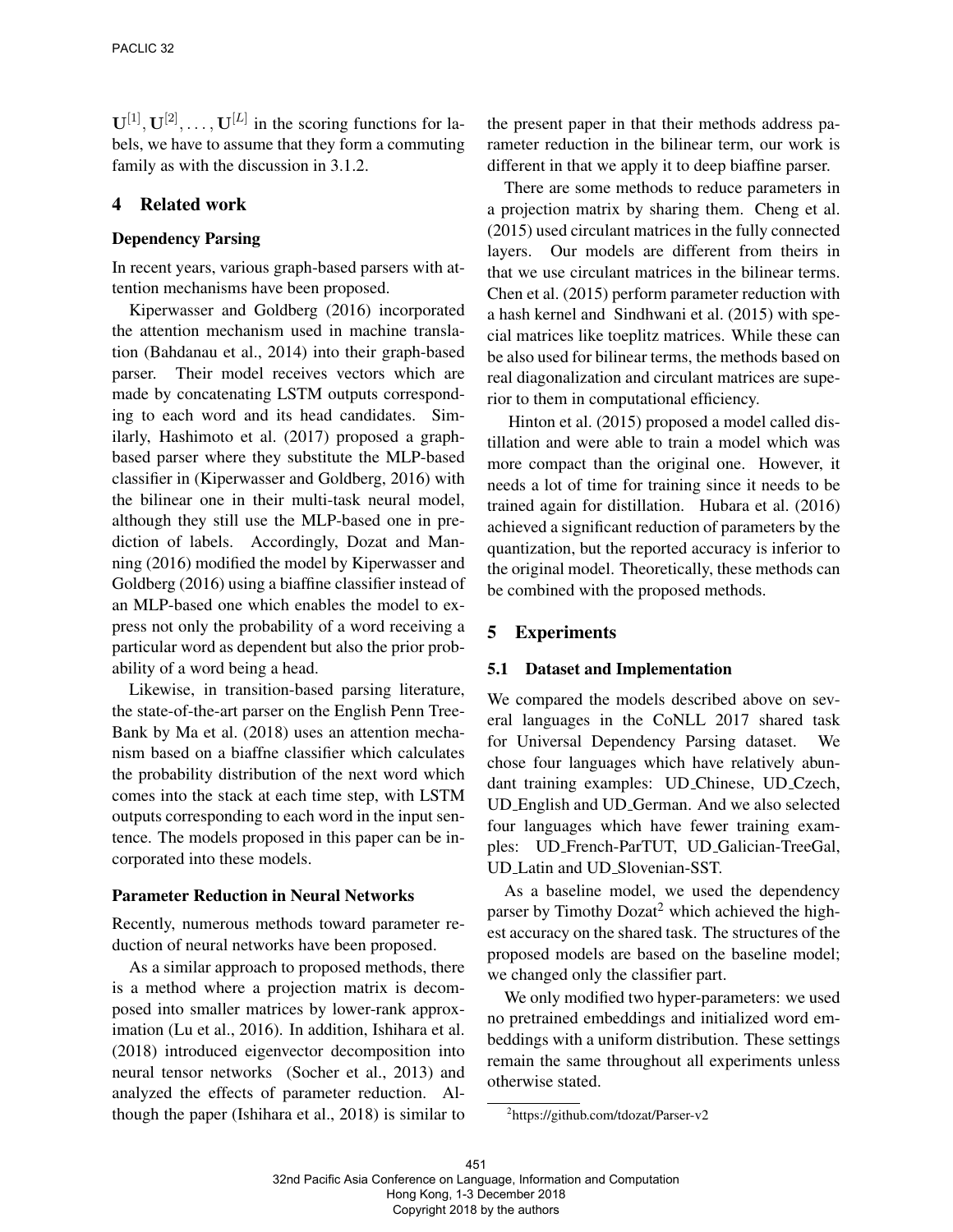$\mathbf{U}^{[1]}, \mathbf{U}^{[2]}, \dots, \mathbf{U}^{[L]}$  in the scoring functions for labels, we have to assume that they form a commuting family as with the discussion in 3.1.2.

# 4 Related work

### Dependency Parsing

In recent years, various graph-based parsers with attention mechanisms have been proposed.

Kiperwasser and Goldberg (2016) incorporated the attention mechanism used in machine translation (Bahdanau et al., 2014) into their graph-based parser. Their model receives vectors which are made by concatenating LSTM outputs corresponding to each word and its head candidates. Similarly, Hashimoto et al. (2017) proposed a graphbased parser where they substitute the MLP-based classifier in (Kiperwasser and Goldberg, 2016) with the bilinear one in their multi-task neural model, although they still use the MLP-based one in prediction of labels. Accordingly, Dozat and Manning (2016) modified the model by Kiperwasser and Goldberg (2016) using a biaffine classifier instead of an MLP-based one which enables the model to express not only the probability of a word receiving a particular word as dependent but also the prior probability of a word being a head.

Likewise, in transition-based parsing literature, the state-of-the-art parser on the English Penn Tree-Bank by Ma et al. (2018) uses an attention mechanism based on a biaffne classifier which calculates the probability distribution of the next word which comes into the stack at each time step, with LSTM outputs corresponding to each word in the input sentence. The models proposed in this paper can be incorporated into these models.

#### Parameter Reduction in Neural Networks

Recently, numerous methods toward parameter reduction of neural networks have been proposed.

As a similar approach to proposed methods, there is a method where a projection matrix is decomposed into smaller matrices by lower-rank approximation (Lu et al., 2016). In addition, Ishihara et al. (2018) introduced eigenvector decomposition into neural tensor networks (Socher et al., 2013) and analyzed the effects of parameter reduction. Although the paper (Ishihara et al., 2018) is similar to the present paper in that their methods address parameter reduction in the bilinear term, our work is different in that we apply it to deep biaffine parser.

There are some methods to reduce parameters in a projection matrix by sharing them. Cheng et al. (2015) used circulant matrices in the fully connected layers. Our models are different from theirs in that we use circulant matrices in the bilinear terms. Chen et al. (2015) perform parameter reduction with a hash kernel and Sindhwani et al. (2015) with special matrices like toeplitz matrices. While these can be also used for bilinear terms, the methods based on real diagonalization and circulant matrices are superior to them in computational efficiency.

Hinton et al. (2015) proposed a model called distillation and were able to train a model which was more compact than the original one. However, it needs a lot of time for training since it needs to be trained again for distillation. Hubara et al. (2016) achieved a significant reduction of parameters by the quantization, but the reported accuracy is inferior to the original model. Theoretically, these methods can be combined with the proposed methods.

# 5 Experiments

### 5.1 Dataset and Implementation

We compared the models described above on several languages in the CoNLL 2017 shared task for Universal Dependency Parsing dataset. We chose four languages which have relatively abundant training examples: UD Chinese, UD Czech, UD English and UD German. And we also selected four languages which have fewer training examples: UD French-ParTUT, UD Galician-TreeGal, UD Latin and UD Slovenian-SST.

As a baseline model, we used the dependency parser by Timothy Dozat<sup>2</sup> which achieved the highest accuracy on the shared task. The structures of the proposed models are based on the baseline model; we changed only the classifier part.

We only modified two hyper-parameters: we used no pretrained embeddings and initialized word embeddings with a uniform distribution. These settings remain the same throughout all experiments unless otherwise stated.

<sup>2</sup> https://github.com/tdozat/Parser-v2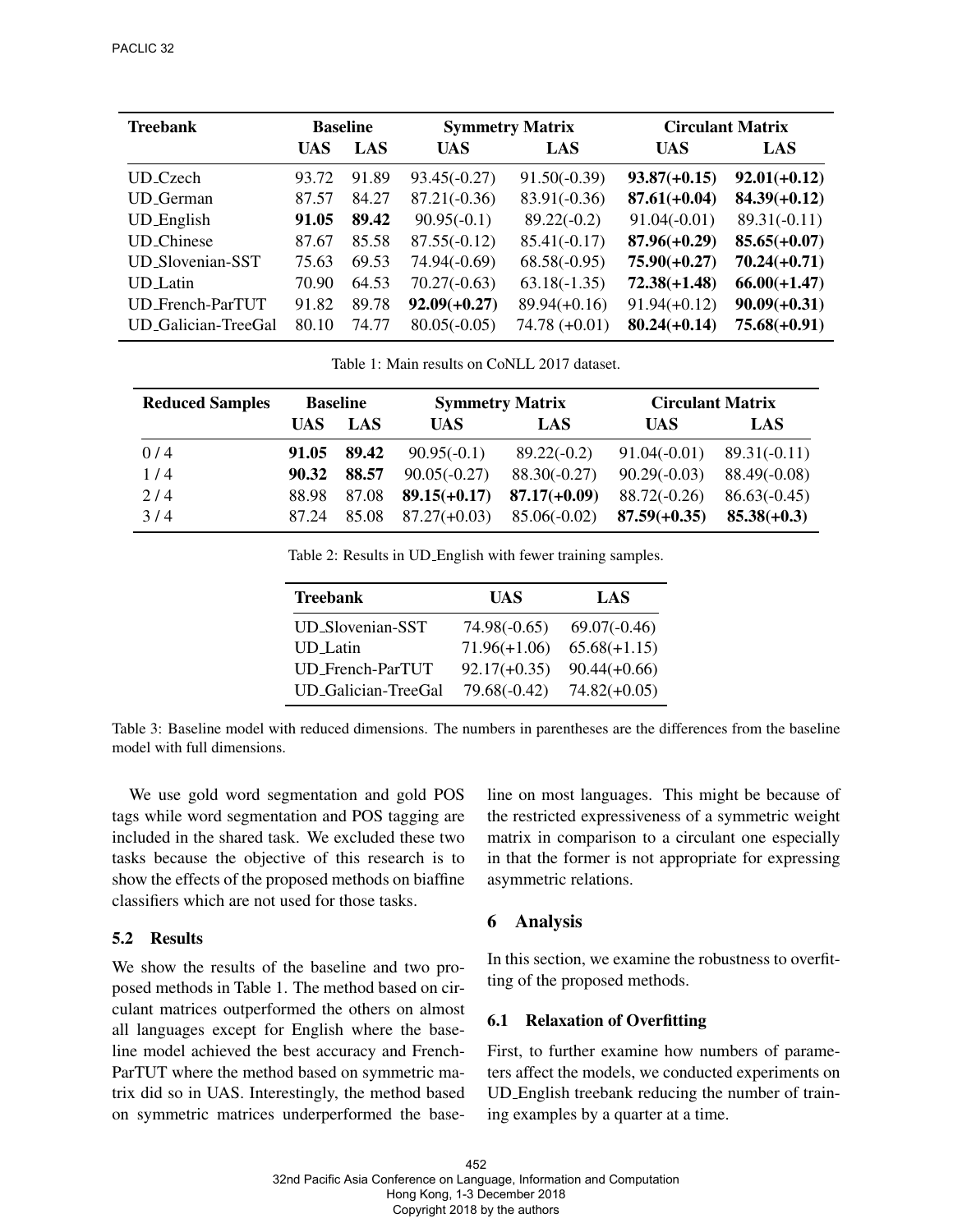| <b>Treebank</b>     | <b>Baseline</b> |            | <b>Symmetry Matrix</b> |                | <b>Circulant Matrix</b> |                |
|---------------------|-----------------|------------|------------------------|----------------|-------------------------|----------------|
|                     | <b>UAS</b>      | <b>LAS</b> | <b>UAS</b>             | LAS            | <b>UAS</b>              | LAS            |
| UD Czech            | 93.72           | 91.89      | $93.45(-0.27)$         | $91.50(-0.39)$ | $93.87(+0.15)$          | $92.01(+0.12)$ |
| <b>UD</b> German    | 87.57           | 84.27      | $87.21(-0.36)$         | $83.91(-0.36)$ | $87.61(+0.04)$          | $84.39(+0.12)$ |
| UD_English          | 91.05           | 89.42      | $90.95(-0.1)$          | $89.22(-0.2)$  | $91.04(-0.01)$          | $89.31(-0.11)$ |
| <b>UD_Chinese</b>   | 87.67           | 85.58      | $87.55(-0.12)$         | $85.41(-0.17)$ | $87.96(+0.29)$          | $85.65(+0.07)$ |
| UD_Slovenian-SST    | 75.63           | 69.53      | $74.94(-0.69)$         | $68.58(-0.95)$ | $75.90(+0.27)$          | $70.24(+0.71)$ |
| UD_Latin            | 70.90           | 64.53      | $70.27(-0.63)$         | $63.18(-1.35)$ | $72.38(+1.48)$          | $66.00(+1.47)$ |
| UD_French-ParTUT    | 91.82           | 89.78      | $92.09(+0.27)$         | $89.94(+0.16)$ | $91.94(+0.12)$          | $90.09(+0.31)$ |
| UD Galician-TreeGal | 80.10           | 74.77      | $80.05(-0.05)$         | $74.78(+0.01)$ | $80.24(+0.14)$          | $75.68(+0.91)$ |

Table 1: Main results on CoNLL 2017 dataset.

| <b>Reduced Samples</b> | <b>Baseline</b> |       | <b>Symmetry Matrix</b> |                | <b>Circulant Matrix</b> |                |
|------------------------|-----------------|-------|------------------------|----------------|-------------------------|----------------|
|                        | UAS             | LAS   | UAS.                   | LAS            | <b>UAS</b>              | LAS            |
| 0/4                    | 91.05           | 89.42 | $90.95(-0.1)$          | $89.22(-0.2)$  | $91.04(-0.01)$          | $89.31(-0.11)$ |
| 1/4                    | 90.32           | 88.57 | $90.05(-0.27)$         | $88.30(-0.27)$ | $90.29(-0.03)$          | $88.49(-0.08)$ |
| 2/4                    | 88.98           | 87.08 | $89.15(+0.17)$         | $87.17(+0.09)$ | $88.72(-0.26)$          | $86.63(-0.45)$ |
| 3/4                    | 87.24           | 85.08 | $87.27(+0.03)$         | $85.06(-0.02)$ | $87.59(+0.35)$          | $85.38(+0.3)$  |

Table 2: Results in UD English with fewer training samples.

| <b>Treebank</b>     | UAS            | LAS            |
|---------------------|----------------|----------------|
| UD_Slovenian-SST    | $74.98(-0.65)$ | $69.07(-0.46)$ |
| <b>UD</b> Latin     | $71.96(+1.06)$ | $65.68(+1.15)$ |
| UD_French-ParTUT    | $92.17(+0.35)$ | $90.44(+0.66)$ |
| UD_Galician-TreeGal | $79.68(-0.42)$ | $74.82(+0.05)$ |

Table 3: Baseline model with reduced dimensions. The numbers in parentheses are the differences from the baseline model with full dimensions.

We use gold word segmentation and gold POS tags while word segmentation and POS tagging are included in the shared task. We excluded these two tasks because the objective of this research is to show the effects of the proposed methods on biaffine classifiers which are not used for those tasks.

### 5.2 Results

We show the results of the baseline and two proposed methods in Table 1. The method based on circulant matrices outperformed the others on almost all languages except for English where the baseline model achieved the best accuracy and French-ParTUT where the method based on symmetric matrix did so in UAS. Interestingly, the method based on symmetric matrices underperformed the baseline on most languages. This might be because of the restricted expressiveness of a symmetric weight matrix in comparison to a circulant one especially in that the former is not appropriate for expressing asymmetric relations.

### 6 Analysis

In this section, we examine the robustness to overfitting of the proposed methods.

### 6.1 Relaxation of Overfitting

First, to further examine how numbers of parameters affect the models, we conducted experiments on UD English treebank reducing the number of training examples by a quarter at a time.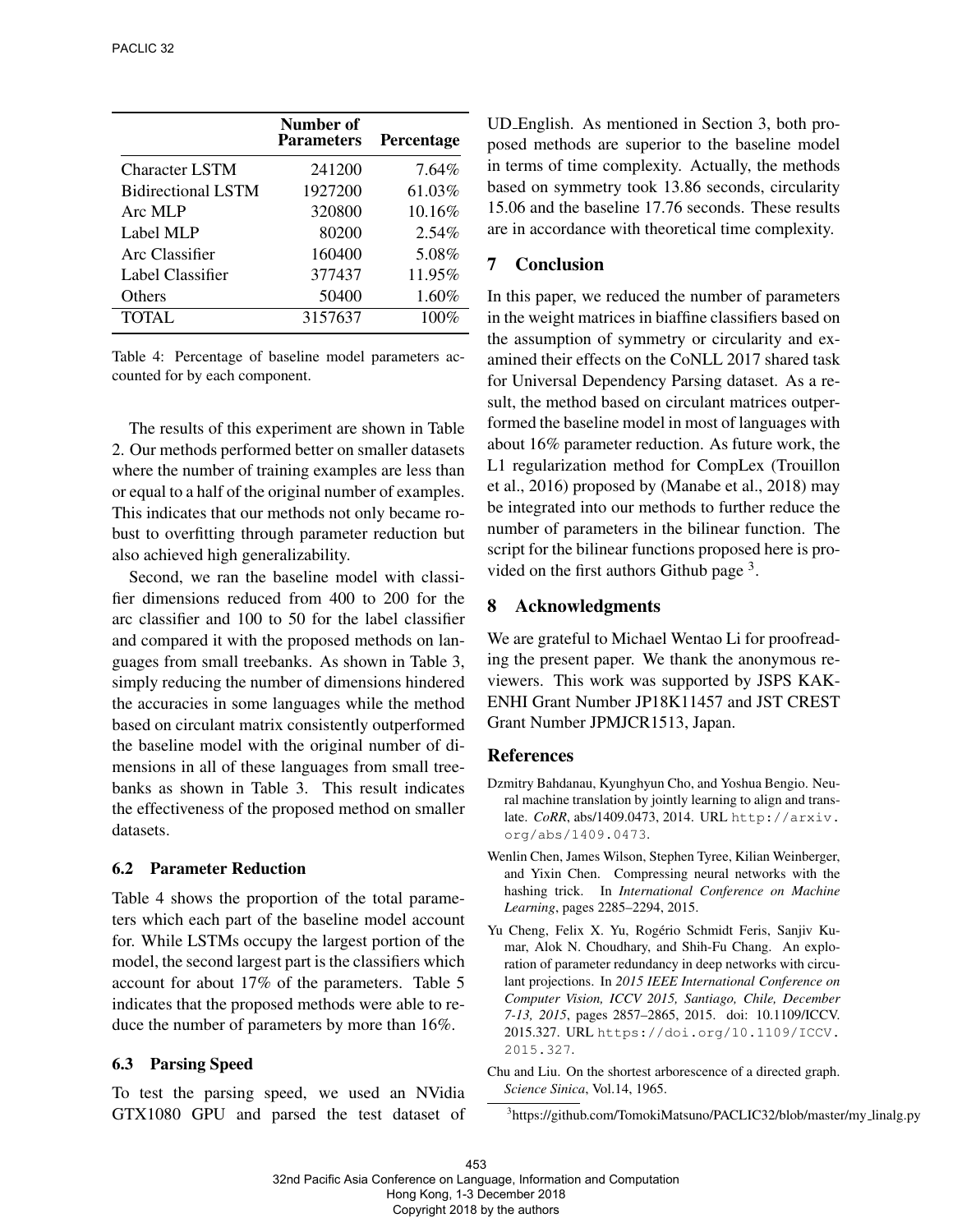|                           | Number of<br><b>Parameters</b> | <b>Percentage</b> |
|---------------------------|--------------------------------|-------------------|
| <b>Character LSTM</b>     | 241200                         | $7.64\%$          |
| <b>Bidirectional LSTM</b> | 1927200                        | 61.03%            |
| Arc MLP                   | 320800                         | 10.16%            |
| Label MLP                 | 80200                          | $2.54\%$          |
| Arc Classifier            | 160400                         | 5.08%             |
| Label Classifier          | 377437                         | 11.95%            |
| <b>Others</b>             | 50400                          | 1.60%             |
| TOTAL.                    | 3157637                        | 100%              |

Table 4: Percentage of baseline model parameters accounted for by each component.

The results of this experiment are shown in Table 2. Our methods performed better on smaller datasets where the number of training examples are less than or equal to a half of the original number of examples. This indicates that our methods not only became robust to overfitting through parameter reduction but also achieved high generalizability.

Second, we ran the baseline model with classifier dimensions reduced from 400 to 200 for the arc classifier and 100 to 50 for the label classifier and compared it with the proposed methods on languages from small treebanks. As shown in Table 3, simply reducing the number of dimensions hindered the accuracies in some languages while the method based on circulant matrix consistently outperformed the baseline model with the original number of dimensions in all of these languages from small treebanks as shown in Table 3. This result indicates the effectiveness of the proposed method on smaller datasets.

#### 6.2 Parameter Reduction

Table 4 shows the proportion of the total parameters which each part of the baseline model account for. While LSTMs occupy the largest portion of the model, the second largest part is the classifiers which account for about 17% of the parameters. Table 5 indicates that the proposed methods were able to reduce the number of parameters by more than 16%.

#### 6.3 Parsing Speed

To test the parsing speed, we used an NVidia GTX1080 GPU and parsed the test dataset of UD English. As mentioned in Section 3, both proposed methods are superior to the baseline model in terms of time complexity. Actually, the methods based on symmetry took 13.86 seconds, circularity 15.06 and the baseline 17.76 seconds. These results are in accordance with theoretical time complexity.

# 7 Conclusion

In this paper, we reduced the number of parameters in the weight matrices in biaffine classifiers based on the assumption of symmetry or circularity and examined their effects on the CoNLL 2017 shared task for Universal Dependency Parsing dataset. As a result, the method based on circulant matrices outperformed the baseline model in most of languages with about 16% parameter reduction. As future work, the L1 regularization method for CompLex (Trouillon et al., 2016) proposed by (Manabe et al., 2018) may be integrated into our methods to further reduce the number of parameters in the bilinear function. The script for the bilinear functions proposed here is provided on the first authors Github page  $3$ .

### 8 Acknowledgments

We are grateful to Michael Wentao Li for proofreading the present paper. We thank the anonymous reviewers. This work was supported by JSPS KAK-ENHI Grant Number JP18K11457 and JST CREST Grant Number JPMJCR1513, Japan.

### References

- Dzmitry Bahdanau, Kyunghyun Cho, and Yoshua Bengio. Neural machine translation by jointly learning to align and translate. *CoRR*, abs/1409.0473, 2014. URL http://arxiv. org/abs/1409.0473.
- Wenlin Chen, James Wilson, Stephen Tyree, Kilian Weinberger, and Yixin Chen. Compressing neural networks with the hashing trick. In *International Conference on Machine Learning*, pages 2285–2294, 2015.
- Yu Cheng, Felix X. Yu, Rogério Schmidt Feris, Sanjiv Kumar, Alok N. Choudhary, and Shih-Fu Chang. An exploration of parameter redundancy in deep networks with circulant projections. In *2015 IEEE International Conference on Computer Vision, ICCV 2015, Santiago, Chile, December 7-13, 2015*, pages 2857–2865, 2015. doi: 10.1109/ICCV. 2015.327. URL https://doi.org/10.1109/ICCV. 2015.327.
- Chu and Liu. On the shortest arborescence of a directed graph. *Science Sinica*, Vol.14, 1965.

<sup>3</sup>https://github.com/TomokiMatsuno/PACLIC32/blob/master/my\_linalg.py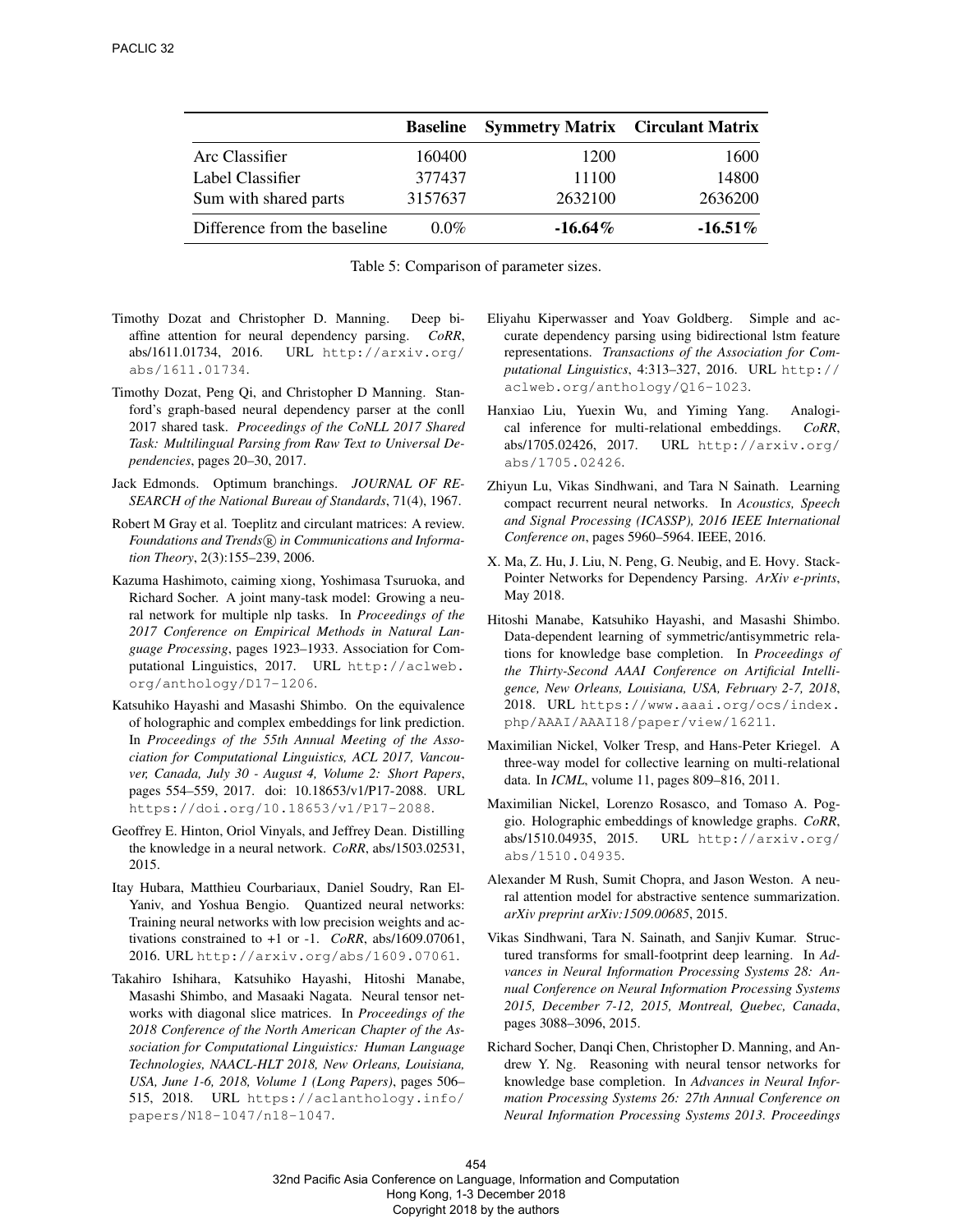|                              | <b>Baseline</b> | <b>Symmetry Matrix Circulant Matrix</b> |            |
|------------------------------|-----------------|-----------------------------------------|------------|
| Arc Classifier               | 160400          | 1200                                    | 1600       |
| Label Classifier             | 377437          | 11100                                   | 14800      |
| Sum with shared parts        | 3157637         | 2632100                                 | 2636200    |
| Difference from the baseline | $0.0\%$         | $-16.64\%$                              | $-16.51\%$ |

Table 5: Comparison of parameter sizes.

- Timothy Dozat and Christopher D. Manning. Deep biaffine attention for neural dependency parsing. *CoRR*, abs/1611.01734, 2016. URL http://arxiv.org/ abs/1611.01734.
- Timothy Dozat, Peng Qi, and Christopher D Manning. Stanford's graph-based neural dependency parser at the conll 2017 shared task. *Proceedings of the CoNLL 2017 Shared Task: Multilingual Parsing from Raw Text to Universal Dependencies*, pages 20–30, 2017.
- Jack Edmonds. Optimum branchings. *JOURNAL OF RE-SEARCH of the National Bureau of Standards*, 71(4), 1967.
- Robert M Gray et al. Toeplitz and circulant matrices: A review. *Foundations and Trends*( $\widehat{R}$ ) *in Communications and Information Theory*, 2(3):155–239, 2006.
- Kazuma Hashimoto, caiming xiong, Yoshimasa Tsuruoka, and Richard Socher. A joint many-task model: Growing a neural network for multiple nlp tasks. In *Proceedings of the 2017 Conference on Empirical Methods in Natural Language Processing*, pages 1923–1933. Association for Computational Linguistics, 2017. URL http://aclweb. org/anthology/D17-1206.
- Katsuhiko Hayashi and Masashi Shimbo. On the equivalence of holographic and complex embeddings for link prediction. In *Proceedings of the 55th Annual Meeting of the Association for Computational Linguistics, ACL 2017, Vancouver, Canada, July 30 - August 4, Volume 2: Short Papers*, pages 554–559, 2017. doi: 10.18653/v1/P17-2088. URL https://doi.org/10.18653/v1/P17-2088.
- Geoffrey E. Hinton, Oriol Vinyals, and Jeffrey Dean. Distilling the knowledge in a neural network. *CoRR*, abs/1503.02531, 2015.
- Itay Hubara, Matthieu Courbariaux, Daniel Soudry, Ran El-Yaniv, and Yoshua Bengio. Quantized neural networks: Training neural networks with low precision weights and activations constrained to +1 or -1. *CoRR*, abs/1609.07061, 2016. URL http://arxiv.org/abs/1609.07061.
- Takahiro Ishihara, Katsuhiko Hayashi, Hitoshi Manabe, Masashi Shimbo, and Masaaki Nagata. Neural tensor networks with diagonal slice matrices. In *Proceedings of the 2018 Conference of the North American Chapter of the Association for Computational Linguistics: Human Language Technologies, NAACL-HLT 2018, New Orleans, Louisiana, USA, June 1-6, 2018, Volume 1 (Long Papers)*, pages 506– 515, 2018. URL https://aclanthology.info/ papers/N18-1047/n18-1047.
- Eliyahu Kiperwasser and Yoav Goldberg. Simple and accurate dependency parsing using bidirectional lstm feature representations. *Transactions of the Association for Computational Linguistics*, 4:313–327, 2016. URL http:// aclweb.org/anthology/Q16-1023.
- Hanxiao Liu, Yuexin Wu, and Yiming Yang. Analogical inference for multi-relational embeddings. *CoRR*, abs/1705.02426, 2017. URL http://arxiv.org/ abs/1705.02426.
- Zhiyun Lu, Vikas Sindhwani, and Tara N Sainath. Learning compact recurrent neural networks. In *Acoustics, Speech and Signal Processing (ICASSP), 2016 IEEE International Conference on*, pages 5960–5964. IEEE, 2016.
- X. Ma, Z. Hu, J. Liu, N. Peng, G. Neubig, and E. Hovy. Stack-Pointer Networks for Dependency Parsing. *ArXiv e-prints*, May 2018.
- Hitoshi Manabe, Katsuhiko Hayashi, and Masashi Shimbo. Data-dependent learning of symmetric/antisymmetric relations for knowledge base completion. In *Proceedings of the Thirty-Second AAAI Conference on Artificial Intelligence, New Orleans, Louisiana, USA, February 2-7, 2018*, 2018. URL https://www.aaai.org/ocs/index. php/AAAI/AAAI18/paper/view/16211.
- Maximilian Nickel, Volker Tresp, and Hans-Peter Kriegel. A three-way model for collective learning on multi-relational data. In *ICML*, volume 11, pages 809–816, 2011.
- Maximilian Nickel, Lorenzo Rosasco, and Tomaso A. Poggio. Holographic embeddings of knowledge graphs. *CoRR*, abs/1510.04935, 2015. URL http://arxiv.org/ abs/1510.04935.
- Alexander M Rush, Sumit Chopra, and Jason Weston. A neural attention model for abstractive sentence summarization. *arXiv preprint arXiv:1509.00685*, 2015.
- Vikas Sindhwani, Tara N. Sainath, and Sanjiv Kumar. Structured transforms for small-footprint deep learning. In *Advances in Neural Information Processing Systems 28: Annual Conference on Neural Information Processing Systems 2015, December 7-12, 2015, Montreal, Quebec, Canada*, pages 3088–3096, 2015.
- Richard Socher, Danqi Chen, Christopher D. Manning, and Andrew Y. Ng. Reasoning with neural tensor networks for knowledge base completion. In *Advances in Neural Information Processing Systems 26: 27th Annual Conference on Neural Information Processing Systems 2013. Proceedings*